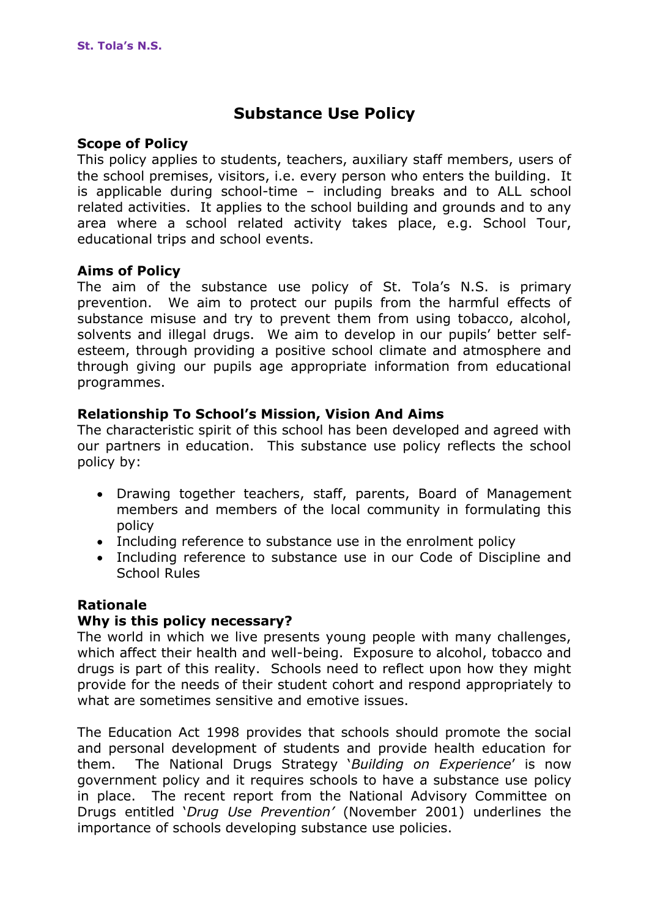# **Substance Use Policy**

#### **Scope of Policy**

This policy applies to students, teachers, auxiliary staff members, users of the school premises, visitors, i.e. every person who enters the building. It is applicable during school-time – including breaks and to ALL school related activities. It applies to the school building and grounds and to any area where a school related activity takes place, e.g. School Tour, educational trips and school events.

#### **Aims of Policy**

The aim of the substance use policy of St. Tola's N.S. is primary prevention. We aim to protect our pupils from the harmful effects of substance misuse and try to prevent them from using tobacco, alcohol, solvents and illegal drugs. We aim to develop in our pupils' better selfesteem, through providing a positive school climate and atmosphere and through giving our pupils age appropriate information from educational programmes.

## **Relationship To School's Mission, Vision And Aims**

The characteristic spirit of this school has been developed and agreed with our partners in education. This substance use policy reflects the school policy by:

- Drawing together teachers, staff, parents, Board of Management members and members of the local community in formulating this policy
- Including reference to substance use in the enrolment policy
- Including reference to substance use in our Code of Discipline and School Rules

#### **Rationale**

#### **Why is this policy necessary?**

The world in which we live presents young people with many challenges, which affect their health and well-being. Exposure to alcohol, tobacco and drugs is part of this reality. Schools need to reflect upon how they might provide for the needs of their student cohort and respond appropriately to what are sometimes sensitive and emotive issues.

The Education Act 1998 provides that schools should promote the social and personal development of students and provide health education for them. The National Drugs Strategy '*Building on Experience*' is now government policy and it requires schools to have a substance use policy in place. The recent report from the National Advisory Committee on Drugs entitled '*Drug Use Prevention'* (November 2001) underlines the importance of schools developing substance use policies.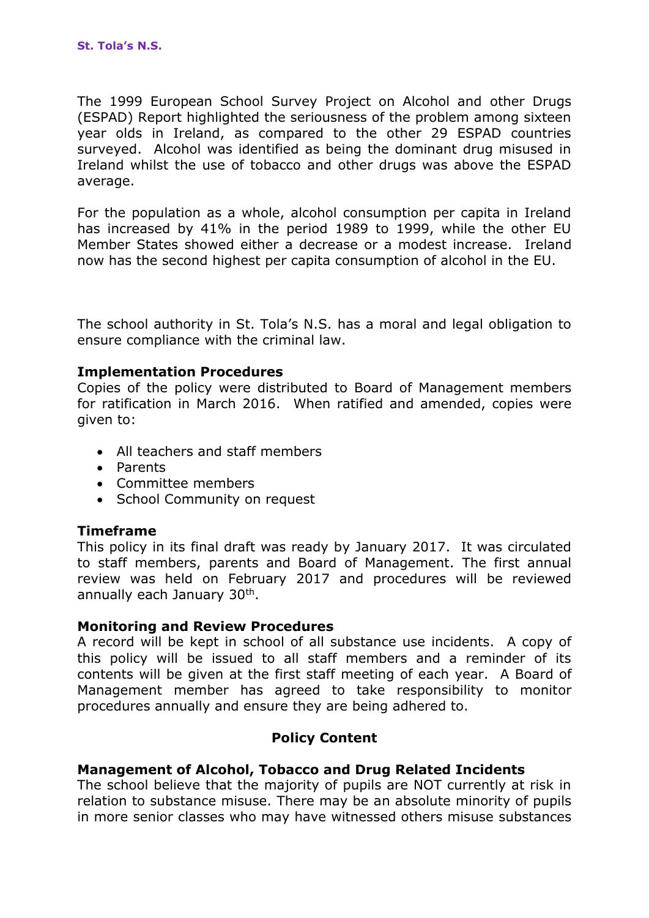The 1999 European School Survey Project on Alcohol and other Drugs (ESPAD) Report highlighted the seriousness of the problem among sixteen year olds in Ireland, as compared to the other 29 ESPAD countries surveyed. Alcohol was identified as being the dominant drug misused in Ireland whilst the use of tobacco and other drugs was above the ESPAD average.

For the population as a whole, alcohol consumption per capita in Ireland has increased by 41% in the period 1989 to 1999, while the other EU Member States showed either a decrease or a modest increase. Ireland now has the second highest per capita consumption of alcohol in the EU.

The school authority in St. Tola's N.S. has a moral and legal obligation to ensure compliance with the criminal law.

#### **Implementation Procedures**

Copies of the policy were distributed to Board of Management members for ratification in March 2016. When ratified and amended, copies were given to:

- All teachers and staff members
- Parents
- Committee members
- School Community on request

## **Timeframe**

This policy in its final draft was ready by January 2017. It was circulated to staff members, parents and Board of Management. The first annual review was held on February 2017 and procedures will be reviewed annually each January 30<sup>th</sup>.

#### **Monitoring and Review Procedures**

A record will be kept in school of all substance use incidents. A copy of this policy will be issued to all staff members and a reminder of its contents will be given at the first staff meeting of each year. A Board of Management member has agreed to take responsibility to monitor procedures annually and ensure they are being adhered to.

## **Policy Content**

## **Management of Alcohol, Tobacco and Drug Related Incidents**

The school believe that the majority of pupils are NOT currently at risk in relation to substance misuse. There may be an absolute minority of pupils in more senior classes who may have witnessed others misuse substances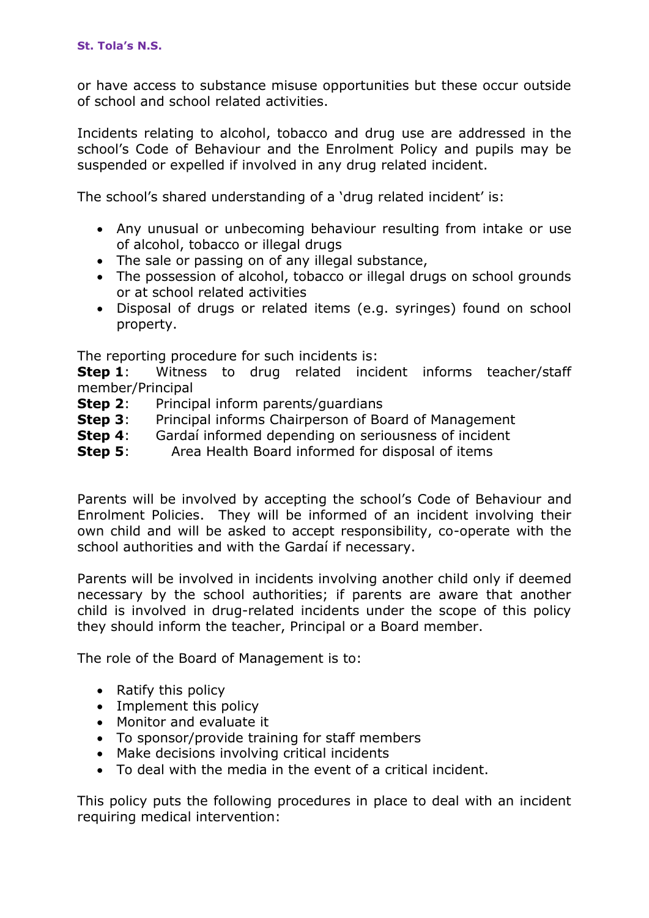or have access to substance misuse opportunities but these occur outside of school and school related activities.

Incidents relating to alcohol, tobacco and drug use are addressed in the school's Code of Behaviour and the Enrolment Policy and pupils may be suspended or expelled if involved in any drug related incident.

The school's shared understanding of a 'drug related incident' is:

- Any unusual or unbecoming behaviour resulting from intake or use of alcohol, tobacco or illegal drugs
- The sale or passing on of any illegal substance,
- The possession of alcohol, tobacco or illegal drugs on school grounds or at school related activities
- Disposal of drugs or related items (e.g. syringes) found on school property.

The reporting procedure for such incidents is:

**Step 1**: Witness to drug related incident informs teacher/staff member/Principal

- **Step 2:** Principal inform parents/guardians
- **Step 3:** Principal informs Chairperson of Board of Management
- **Step 4:** Gardaí informed depending on seriousness of incident
- **Step 5:** Area Health Board informed for disposal of items

Parents will be involved by accepting the school's Code of Behaviour and Enrolment Policies. They will be informed of an incident involving their own child and will be asked to accept responsibility, co-operate with the school authorities and with the Gardaí if necessary.

Parents will be involved in incidents involving another child only if deemed necessary by the school authorities; if parents are aware that another child is involved in drug-related incidents under the scope of this policy they should inform the teacher, Principal or a Board member.

The role of the Board of Management is to:

- Ratify this policy
- Implement this policy
- Monitor and evaluate it
- To sponsor/provide training for staff members
- Make decisions involving critical incidents
- To deal with the media in the event of a critical incident.

This policy puts the following procedures in place to deal with an incident requiring medical intervention: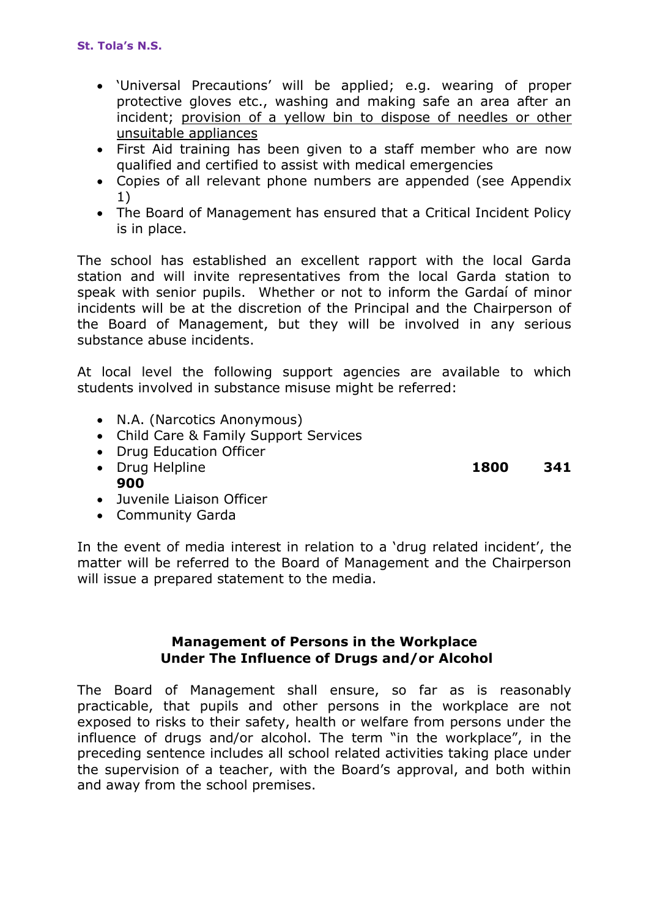- 'Universal Precautions' will be applied; e.g. wearing of proper protective gloves etc., washing and making safe an area after an incident; provision of a yellow bin to dispose of needles or other unsuitable appliances
- First Aid training has been given to a staff member who are now qualified and certified to assist with medical emergencies
- Copies of all relevant phone numbers are appended (see Appendix 1)
- The Board of Management has ensured that a Critical Incident Policy is in place.

The school has established an excellent rapport with the local Garda station and will invite representatives from the local Garda station to speak with senior pupils. Whether or not to inform the Gardaí of minor incidents will be at the discretion of the Principal and the Chairperson of the Board of Management, but they will be involved in any serious substance abuse incidents.

At local level the following support agencies are available to which students involved in substance misuse might be referred:

- N.A. (Narcotics Anonymous)
- Child Care & Family Support Services
- Drug Education Officer
- Drug Helpline **1800 341 900**
- **Juvenile Liaison Officer**
- Community Garda

In the event of media interest in relation to a 'drug related incident', the matter will be referred to the Board of Management and the Chairperson will issue a prepared statement to the media.

## **Management of Persons in the Workplace Under The Influence of Drugs and/or Alcohol**

The Board of Management shall ensure, so far as is reasonably practicable, that pupils and other persons in the workplace are not exposed to risks to their safety, health or welfare from persons under the influence of drugs and/or alcohol. The term "in the workplace", in the preceding sentence includes all school related activities taking place under the supervision of a teacher, with the Board's approval, and both within and away from the school premises.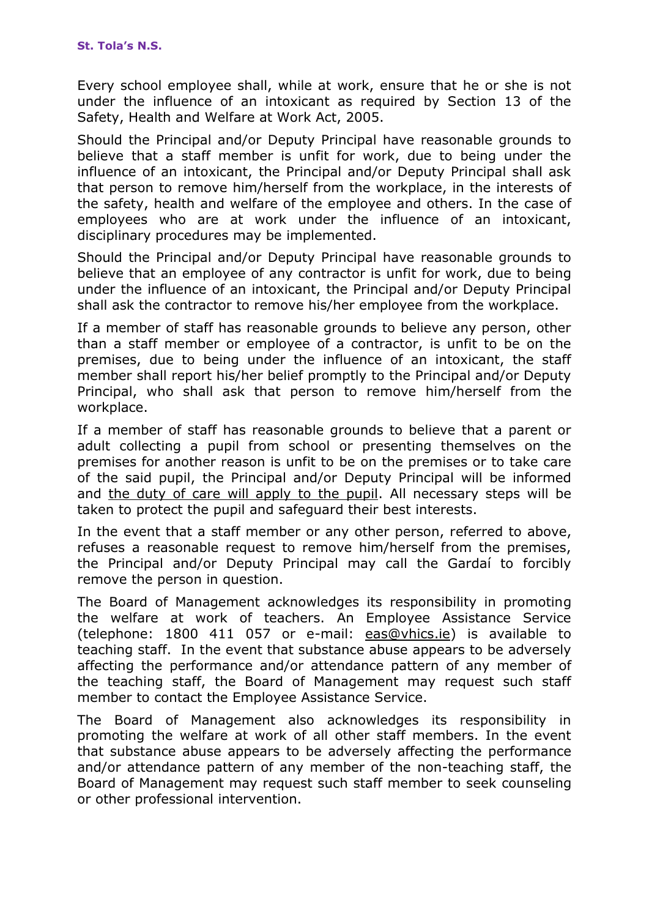Every school employee shall, while at work, ensure that he or she is not under the influence of an intoxicant as required by Section 13 of the Safety, Health and Welfare at Work Act, 2005.

Should the Principal and/or Deputy Principal have reasonable grounds to believe that a staff member is unfit for work, due to being under the influence of an intoxicant, the Principal and/or Deputy Principal shall ask that person to remove him/herself from the workplace, in the interests of the safety, health and welfare of the employee and others. In the case of employees who are at work under the influence of an intoxicant, disciplinary procedures may be implemented.

Should the Principal and/or Deputy Principal have reasonable grounds to believe that an employee of any contractor is unfit for work, due to being under the influence of an intoxicant, the Principal and/or Deputy Principal shall ask the contractor to remove his/her employee from the workplace.

If a member of staff has reasonable grounds to believe any person, other than a staff member or employee of a contractor, is unfit to be on the premises, due to being under the influence of an intoxicant, the staff member shall report his/her belief promptly to the Principal and/or Deputy Principal, who shall ask that person to remove him/herself from the workplace.

If a member of staff has reasonable grounds to believe that a parent or adult collecting a pupil from school or presenting themselves on the premises for another reason is unfit to be on the premises or to take care of the said pupil, the Principal and/or Deputy Principal will be informed and the duty of care will apply to the pupil. All necessary steps will be taken to protect the pupil and safeguard their best interests.

In the event that a staff member or any other person, referred to above, refuses a reasonable request to remove him/herself from the premises, the Principal and/or Deputy Principal may call the Gardaí to forcibly remove the person in question.

The Board of Management acknowledges its responsibility in promoting the welfare at work of teachers. An Employee Assistance Service (telephone: 1800 411 057 or e-mail: [eas@vhics.ie\)](mailto:eas@vhics.ie) is available to teaching staff. In the event that substance abuse appears to be adversely affecting the performance and/or attendance pattern of any member of the teaching staff, the Board of Management may request such staff member to contact the Employee Assistance Service.

The Board of Management also acknowledges its responsibility in promoting the welfare at work of all other staff members. In the event that substance abuse appears to be adversely affecting the performance and/or attendance pattern of any member of the non-teaching staff, the Board of Management may request such staff member to seek counseling or other professional intervention.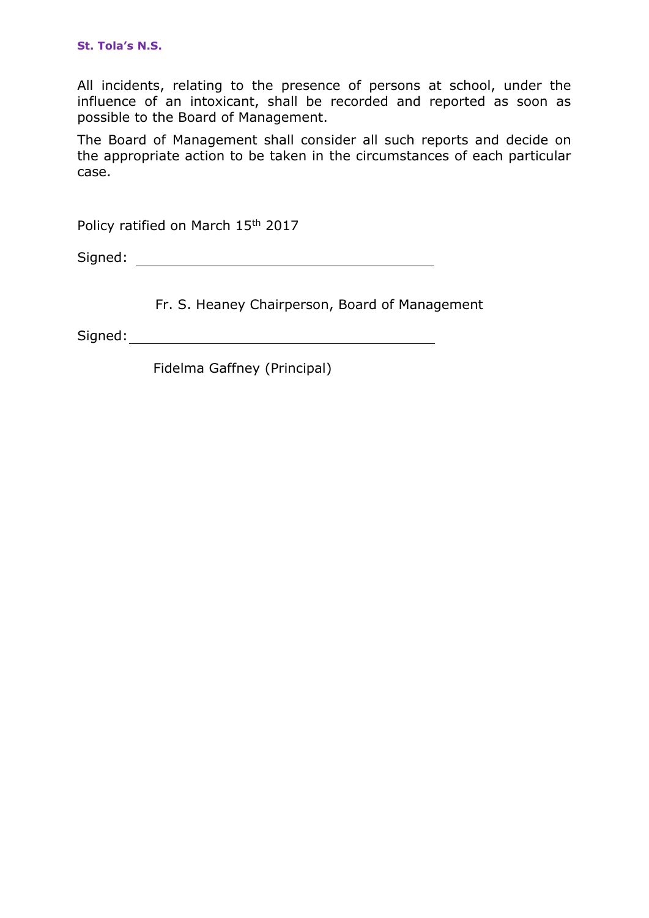All incidents, relating to the presence of persons at school, under the influence of an intoxicant, shall be recorded and reported as soon as possible to the Board of Management.

The Board of Management shall consider all such reports and decide on the appropriate action to be taken in the circumstances of each particular case.

Policy ratified on March 15th 2017

Signed:

Fr. S. Heaney Chairperson, Board of Management

Signed: **Signed: Signed: Signed: Signed: Signed: Signed: Signed: Signed: Signed: Signed: Signed: Signed: Signed: Signed: Signed: Signed: Signed: Signed: Signed: Signed: Signed: Sig** 

Fidelma Gaffney (Principal)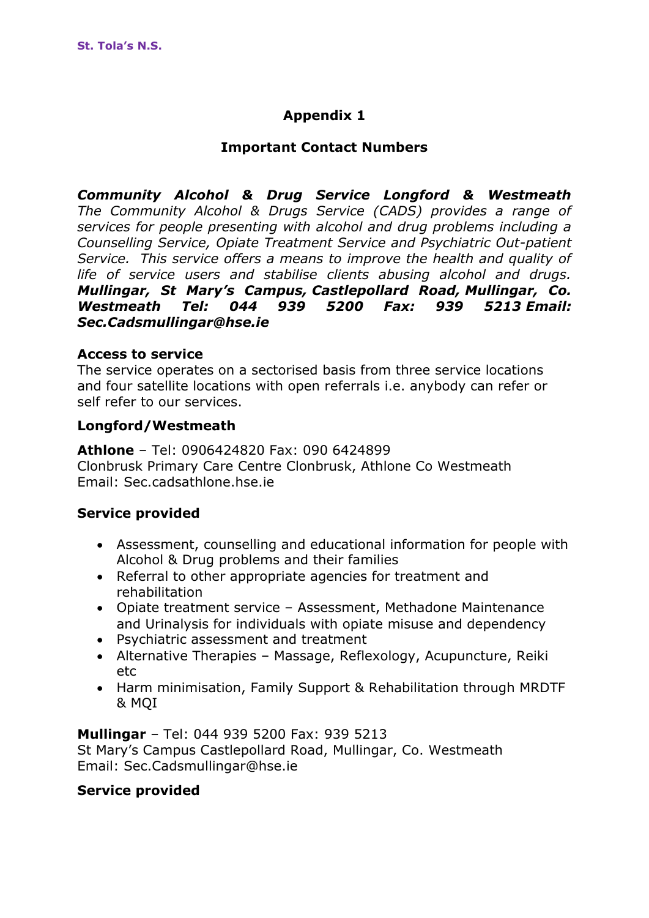# **Appendix 1**

# **Important Contact Numbers**

*Community Alcohol & Drug Service Longford & Westmeath The Community Alcohol & Drugs Service (CADS) provides a range of services for people presenting with alcohol and drug problems including a Counselling Service, Opiate Treatment Service and Psychiatric Out-patient Service. This service offers a means to improve the health and quality of life of service users and stabilise clients abusing alcohol and drugs. Mullingar, St Mary's Campus, Castlepollard Road, Mullingar, Co. Westmeath Tel: 044 939 5200 Fax: 939 5213 Email: Sec.Cadsmullingar@hse.ie*

## **Access to service**

The service operates on a sectorised basis from three service locations and four satellite locations with open referrals i.e. anybody can refer or self refer to our services.

## **Longford/Westmeath**

**Athlone** – Tel: 0906424820 Fax: 090 6424899 Clonbrusk Primary Care Centre Clonbrusk, Athlone Co Westmeath Email: Sec.cadsathlone.hse.ie

## **Service provided**

- Assessment, counselling and educational information for people with Alcohol & Drug problems and their families
- Referral to other appropriate agencies for treatment and rehabilitation
- Opiate treatment service Assessment, Methadone Maintenance and Urinalysis for individuals with opiate misuse and dependency
- Psychiatric assessment and treatment
- Alternative Therapies Massage, Reflexology, Acupuncture, Reiki etc
- Harm minimisation, Family Support & Rehabilitation through MRDTF & MQI

**Mullingar** – Tel: 044 939 5200 Fax: 939 5213 St Mary's Campus Castlepollard Road, Mullingar, Co. Westmeath Email: Sec.Cadsmullingar@hse.ie

## **Service provided**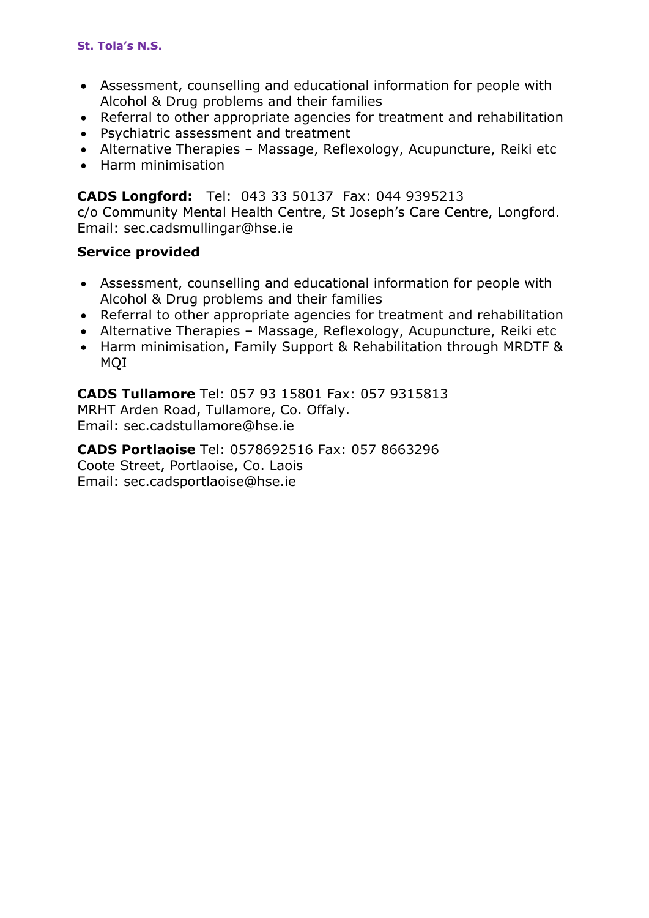- Assessment, counselling and educational information for people with Alcohol & Drug problems and their families
- Referral to other appropriate agencies for treatment and rehabilitation
- Psychiatric assessment and treatment
- Alternative Therapies Massage, Reflexology, Acupuncture, Reiki etc
- Harm minimisation

# **CADS Longford:** Tel: 043 33 50137 Fax: 044 9395213

c/o Community Mental Health Centre, St Joseph's Care Centre, Longford. Email: sec.cadsmullingar@hse.ie

# **Service provided**

- Assessment, counselling and educational information for people with Alcohol & Drug problems and their families
- Referral to other appropriate agencies for treatment and rehabilitation
- Alternative Therapies Massage, Reflexology, Acupuncture, Reiki etc
- Harm minimisation, Family Support & Rehabilitation through MRDTF & MQI

# **CADS Tullamore** Tel: 057 93 15801 Fax: 057 9315813

MRHT Arden Road, Tullamore, Co. Offaly. Email: sec.cadstullamore@hse.ie

**CADS Portlaoise** Tel: 0578692516 Fax: 057 8663296 Coote Street, Portlaoise, Co. Laois Email: sec.cadsportlaoise@hse.ie